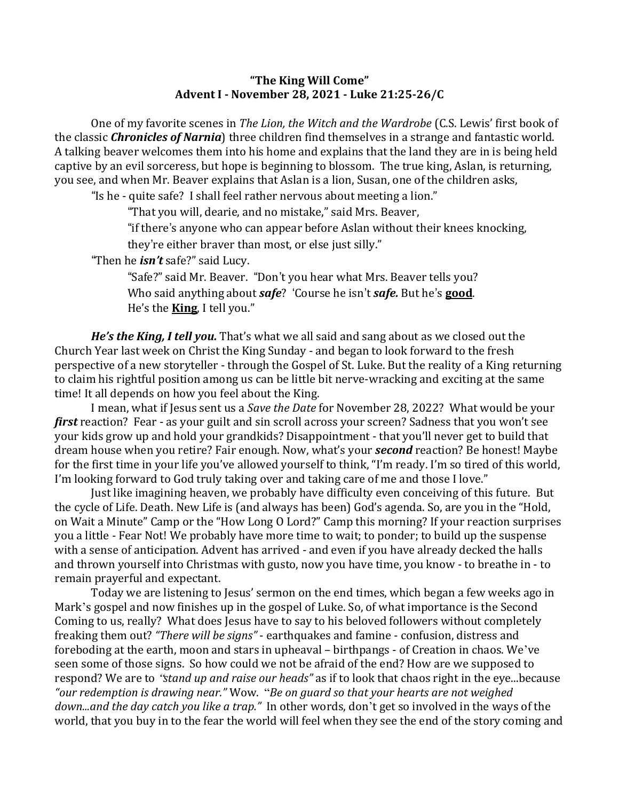## **"The King Will Come" Advent I - November 28, 2021 - Luke 21:25-26/C**

One of my favorite scenes in *The Lion, the Witch and the Wardrobe* (C.S. Lewis' first book of the classic *Chronicles of Narnia*) three children find themselves in a strange and fantastic world. A talking beaver welcomes them into his home and explains that the land they are in is being held captive by an evil sorceress, but hope is beginning to blossom. The true king, Aslan, is returning, you see, and when Mr. Beaver explains that Aslan is a lion, Susan, one of the children asks,

"Is he - quite safe? I shall feel rather nervous about meeting a lion."

"That you will, dearie, and no mistake," said Mrs. Beaver,

"if there's anyone who can appear before Aslan without their knees knocking, they're either braver than most, or else just silly."

"Then he *isn't* safe?" said Lucy.

"Safe?" said Mr. Beaver. "Don't you hear what Mrs. Beaver tells you?

Who said anything about *safe*? 'Course he isn't *safe*. But he's **good**. He's the **King**, I tell you."

*He's the King, I tell you.* That's what we all said and sang about as we closed out the Church Year last week on Christ the King Sunday - and began to look forward to the fresh perspective of a new storyteller - through the Gospel of St. Luke. But the reality of a King returning to claim his rightful position among us can be little bit nerve-wracking and exciting at the same time! It all depends on how you feel about the King.

I mean, what if Jesus sent us a *Save the Date* for November 28, 2022? What would be your *first* reaction? Fear - as your guilt and sin scroll across your screen? Sadness that you won't see your kids grow up and hold your grandkids? Disappointment - that you'll never get to build that dream house when you retire? Fair enough. Now, what's your **second** reaction? Be honest! Maybe for the first time in your life you've allowed yourself to think, "I'm ready. I'm so tired of this world, I'm looking forward to God truly taking over and taking care of me and those I love."

Just like imagining heaven, we probably have difficulty even conceiving of this future. But the cycle of Life. Death. New Life is (and always has been) God's agenda. So, are you in the "Hold, on Wait a Minute" Camp or the "How Long O Lord?" Camp this morning? If your reaction surprises you a little - Fear Not! We probably have more time to wait; to ponder; to build up the suspense with a sense of anticipation. Advent has arrived - and even if you have already decked the halls and thrown yourself into Christmas with gusto, now you have time, you know - to breathe in - to remain prayerful and expectant.

Today we are listening to Jesus' sermon on the end times, which began a few weeks ago in Mark's gospel and now finishes up in the gospel of Luke. So, of what importance is the Second Coming to us, really? What does Jesus have to say to his beloved followers without completely freaking them out? "There will be signs" - earthquakes and famine - confusion, distress and foreboding at the earth, moon and stars in upheaval – birthpangs - of Creation in chaos. We've seen some of those signs. So how could we not be afraid of the end? How are we supposed to respond? We are to "stand up and raise our heads" as if to look that chaos right in the eye...because "our redemption is drawing near." Wow. "Be on guard so that your hearts are not weighed *down...and the day catch you like a trap.*" In other words, don't get so involved in the ways of the world, that you buy in to the fear the world will feel when they see the end of the story coming and